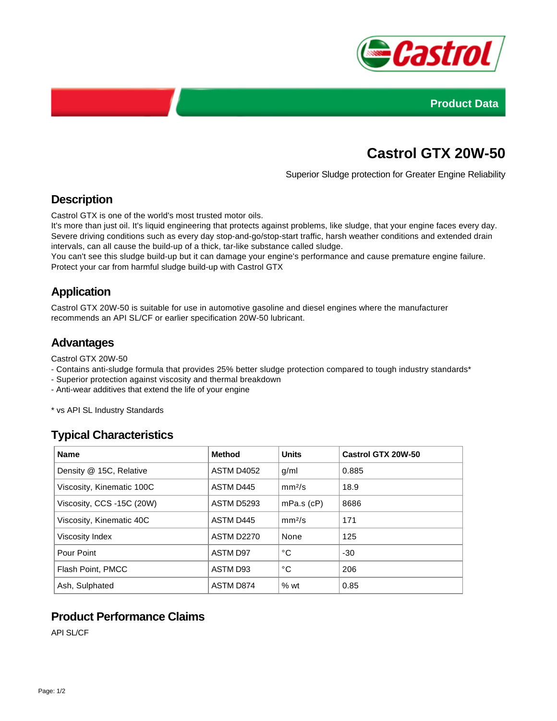



# **Castrol GTX 20W-50**

Superior Sludge protection for Greater Engine Reliability

## **Description**

Castrol GTX is one of the world's most trusted motor oils.

It's more than just oil. It's liquid engineering that protects against problems, like sludge, that your engine faces every day. Severe driving conditions such as every day stop-and-go/stop-start traffic, harsh weather conditions and extended drain intervals, can all cause the build-up of a thick, tar-like substance called sludge.

You can't see this sludge build-up but it can damage your engine's performance and cause premature engine failure. Protect your car from harmful sludge build-up with Castrol GTX

## **Application**

Castrol GTX 20W-50 is suitable for use in automotive gasoline and diesel engines where the manufacturer recommends an API SL/CF or earlier specification 20W-50 lubricant.

### **Advantages**

Castrol GTX 20W-50

- Contains anti-sludge formula that provides 25% better sludge protection compared to tough industry standards\*
- Superior protection against viscosity and thermal breakdown
- Anti-wear additives that extend the life of your engine

\* vs API SL Industry Standards

### **Typical Characteristics**

| <b>Name</b>               | <b>Method</b>     | <b>Units</b>       | <b>Castrol GTX 20W-50</b> |
|---------------------------|-------------------|--------------------|---------------------------|
| Density @ 15C, Relative   | ASTM D4052        | q/ml               | 0.885                     |
| Viscosity, Kinematic 100C | ASTM D445         | mm <sup>2</sup> /s | 18.9                      |
| Viscosity, CCS -15C (20W) | <b>ASTM D5293</b> | $mPa.s$ ( $cP$ )   | 8686                      |
| Viscosity, Kinematic 40C  | ASTM D445         | mm <sup>2</sup> /s | 171                       |
| Viscosity Index           | <b>ASTM D2270</b> | None               | 125                       |
| Pour Point                | ASTM D97          | °C                 | $-30$                     |
| Flash Point, PMCC         | ASTM D93          | °C                 | 206                       |
| Ash, Sulphated            | ASTM D874         | %wt                | 0.85                      |

### **Product Performance Claims**

API SL/CF